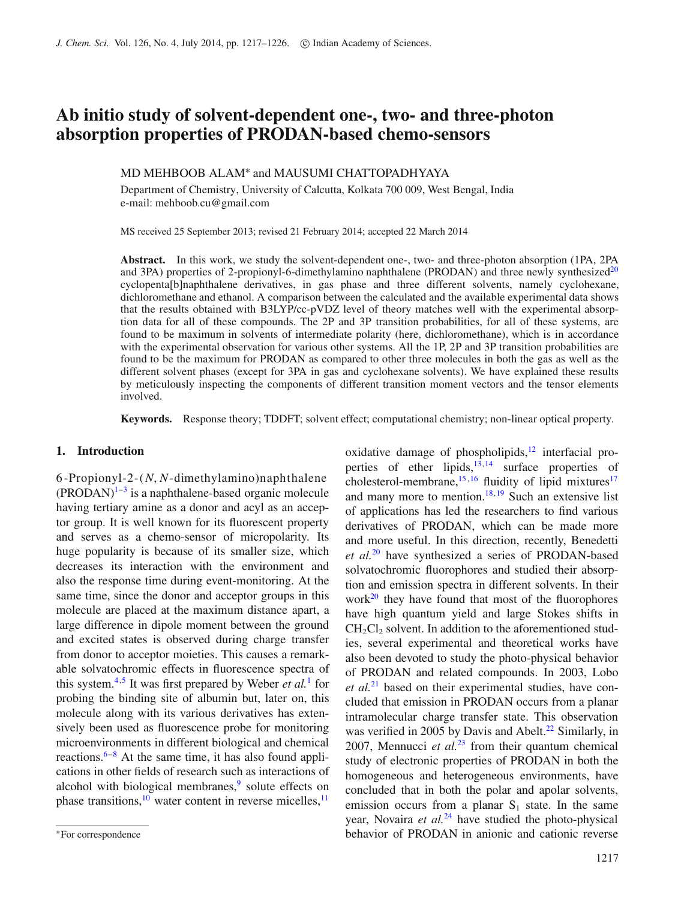# **Ab initio study of solvent-dependent one-, two- and three-photon absorption properties of PRODAN-based chemo-sensors**

## MD MEHBOOB ALAM∗ and MAUSUMI CHATTOPADHYAYA

Department of Chemistry, University of Calcutta, Kolkata 700 009, West Bengal, India e-mail: mehboob.cu@gmail.com

MS received 25 September 2013; revised 21 February 2014; accepted 22 March 2014

**Abstract.** In this work, we study the solvent-dependent one-, two- and three-photon absorption (1PA, 2PA and 3PA) properties of 2-propionyl-6-dimethylamino naphthalene (PRODAN) and three newly synthesized<sup>[20](#page-9-0)</sup> cyclopenta[b]naphthalene derivatives, in gas phase and three different solvents, namely cyclohexane, dichloromethane and ethanol. A comparison between the calculated and the available experimental data shows that the results obtained with B3LYP/cc-pVDZ level of theory matches well with the experimental absorption data for all of these compounds. The 2P and 3P transition probabilities, for all of these systems, are found to be maximum in solvents of intermediate polarity (here, dichloromethane), which is in accordance with the experimental observation for various other systems. All the 1P, 2P and 3P transition probabilities are found to be the maximum for PRODAN as compared to other three molecules in both the gas as well as the different solvent phases (except for 3PA in gas and cyclohexane solvents). We have explained these results by meticulously inspecting the components of different transition moment vectors and the tensor elements involved.

**Keywords.** Response theory; TDDFT; solvent effect; computational chemistry; non-linear optical property.

# **1. Introduction**

6-Propionyl-2-(*N*, *N*-dimethylamino)naphthalene  $(PRODAN)^{1-3}$  is a naphthalene-based organic molecule having tertiary amine as a donor and acyl as an acceptor group. It is well known for its fluorescent property and serves as a chemo-sensor of micropolarity. Its huge popularity is because of its smaller size, which decreases its interaction with the environment and also the response time during event-monitoring. At the same time, since the donor and acceptor groups in this molecule are placed at the maximum distance apart, a large difference in dipole moment between the ground and excited states is observed during charge transfer from donor to acceptor moieties. This causes a remarkable solvatochromic effects in fluorescence spectra of this system[.4,](#page-8-2)[5](#page-8-3) It was first prepared by Weber *et al.*[1](#page-8-0) for probing the binding site of albumin but, later on, this molecule along with its various derivatives has extensively been used as fluorescence probe for monitoring microenvironments in different biological and chemical reactions. $6-8$  $6-8$  At the same time, it has also found applications in other fields of research such as interactions of alcohol with biological membranes, $9$  solute effects on phase transitions,  $\frac{10}{10}$  water content in reverse micelles,  $\frac{11}{10}$  oxidative damage of phospholipids, $12$  interfacial properties of ether lipids, $13,14$  $13,14$  surface properties of cholesterol-membrane, $15,16$  $15,16$  fluidity of lipid mixtures<sup>17</sup> and many more to mention.<sup>18,[19](#page-9-12)</sup> Such an extensive list of applications has led the researchers to find various derivatives of PRODAN, which can be made more and more useful. In this direction, recently, Benedetti *et al.*[20](#page-9-0) have synthesized a series of PRODAN-based solvatochromic fluorophores and studied their absorption and emission spectra in different solvents. In their work $^{20}$  they have found that most of the fluorophores have high quantum yield and large Stokes shifts in  $CH<sub>2</sub>Cl<sub>2</sub>$  solvent. In addition to the aforementioned studies, several experimental and theoretical works have also been devoted to study the photo-physical behavior of PRODAN and related compounds. In 2003, Lobo *et al.*[21](#page-9-13) based on their experimental studies, have concluded that emission in PRODAN occurs from a planar intramolecular charge transfer state. This observation was verified in 2005 by Davis and Abelt.<sup>22</sup> Similarly, in 2007, Mennucci *et al.*[23](#page-9-15) from their quantum chemical study of electronic properties of PRODAN in both the homogeneous and heterogeneous environments, have concluded that in both the polar and apolar solvents, emission occurs from a planar  $S_1$  state. In the same year, Novaira *et al.*<sup>[24](#page-9-16)</sup> have studied the photo-physical behavior of PRODAN in anionic and cationic reverse

<sup>∗</sup>For correspondence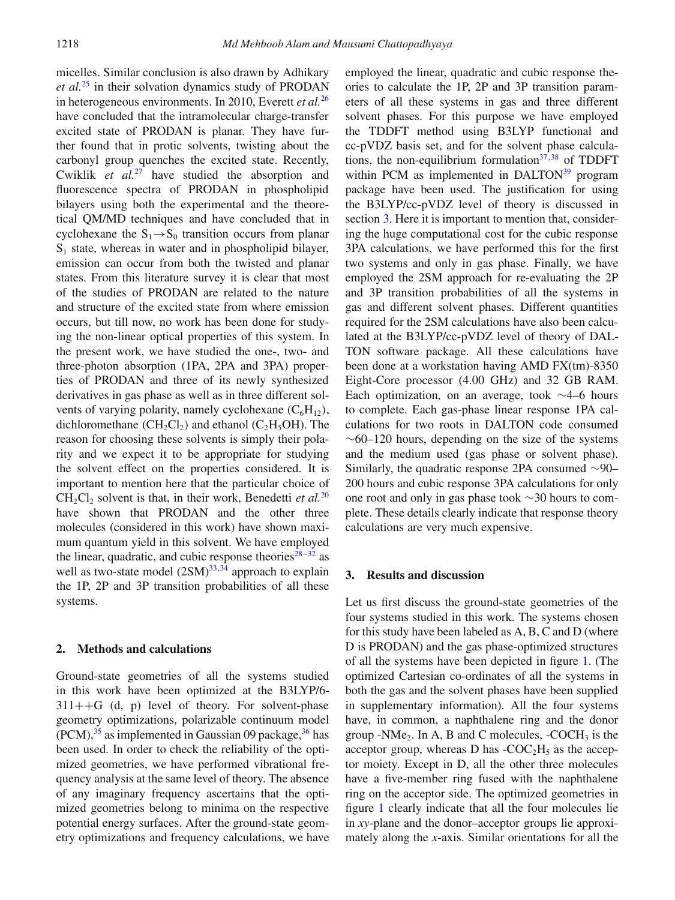micelles. Similar conclusion is also drawn by Adhikary *et al.*[25](#page-9-17) in their solvation dynamics study of PRODAN in heterogeneous environments. In 2010, Everett *et al.*[26](#page-9-18) have concluded that the intramolecular charge-transfer excited state of PRODAN is planar. They have further found that in protic solvents, twisting about the carbonyl group quenches the excited state. Recently, Cwiklik *et al.*[27](#page-9-19) have studied the absorption and fluorescence spectra of PRODAN in phospholipid bilayers using both the experimental and the theoretical QM/MD techniques and have concluded that in cyclohexane the  $S_1 \rightarrow S_0$  transition occurs from planar  $S_1$  state, whereas in water and in phospholipid bilayer, emission can occur from both the twisted and planar states. From this literature survey it is clear that most of the studies of PRODAN are related to the nature and structure of the excited state from where emission occurs, but till now, no work has been done for studying the non-linear optical properties of this system. In the present work, we have studied the one-, two- and three-photon absorption (1PA, 2PA and 3PA) properties of PRODAN and three of its newly synthesized derivatives in gas phase as well as in three different solvents of varying polarity, namely cyclohexane  $(C_6H_{12})$ , dichloromethane  $(CH_2Cl_2)$  and ethanol  $(C_2H_5OH)$ . The reason for choosing these solvents is simply their polarity and we expect it to be appropriate for studying the solvent effect on the properties considered. It is important to mention here that the particular choice of  $CH_2Cl_2$  solvent is that, in their work, Benedetti *et al.*<sup>[20](#page-9-0)</sup> have shown that PRODAN and the other three molecules (considered in this work) have shown maximum quantum yield in this solvent. We have employed the linear, quadratic, and cubic response theories<sup>28–[32](#page-9-21)</sup> as well as two-state model  $(2SM)^{33,34}$  $(2SM)^{33,34}$  $(2SM)^{33,34}$  approach to explain the 1P, 2P and 3P transition probabilities of all these systems.

## **2. Methods and calculations**

Ground-state geometries of all the systems studied in this work have been optimized at the B3LYP/6-  $311++G$  (d, p) level of theory. For solvent-phase geometry optimizations, polarizable continuum model  $(PCM)$ ,  $35$  as implemented in Gaussian 09 package,  $36$  has been used. In order to check the reliability of the optimized geometries, we have performed vibrational frequency analysis at the same level of theory. The absence of any imaginary frequency ascertains that the optimized geometries belong to minima on the respective potential energy surfaces. After the ground-state geometry optimizations and frequency calculations, we have employed the linear, quadratic and cubic response theories to calculate the 1P, 2P and 3P transition parameters of all these systems in gas and three different solvent phases. For this purpose we have employed the TDDFT method using B3LYP functional and cc-pVDZ basis set, and for the solvent phase calculations, the non-equilibrium formulation $37,38$  $37,38$  of TDDFT within PCM as implemented in DALTON $39$  program package have been used. The justification for using the B3LYP/cc-pVDZ level of theory is discussed in section [3.](#page-1-0) Here it is important to mention that, considering the huge computational cost for the cubic response 3PA calculations, we have performed this for the first two systems and only in gas phase. Finally, we have employed the 2SM approach for re-evaluating the 2P and 3P transition probabilities of all the systems in gas and different solvent phases. Different quantities required for the 2SM calculations have also been calculated at the B3LYP/cc-pVDZ level of theory of DAL-TON software package. All these calculations have been done at a workstation having AMD FX(tm)-8350 Eight-Core processor (4.00 GHz) and 32 GB RAM. Each optimization, on an average, took ∼4–6 hours to complete. Each gas-phase linear response 1PA calculations for two roots in DALTON code consumed  $~\sim$ 60–120 hours, depending on the size of the systems and the medium used (gas phase or solvent phase). Similarly, the quadratic response 2PA consumed ∼90– 200 hours and cubic response 3PA calculations for only one root and only in gas phase took ∼30 hours to complete. These details clearly indicate that response theory calculations are very much expensive.

### <span id="page-1-0"></span>**3. Results and discussion**

Let us first discuss the ground-state geometries of the four systems studied in this work. The systems chosen for this study have been labeled as A, B, C and D (where D is PRODAN) and the gas phase-optimized structures of all the systems have been depicted in figure [1.](#page-2-0) (The optimized Cartesian co-ordinates of all the systems in both the gas and the solvent phases have been supplied in supplementary information). All the four systems have, in common, a naphthalene ring and the donor group -NMe<sub>2</sub>. In A, B and C molecules, -COCH<sub>3</sub> is the acceptor group, whereas D has  $-COC<sub>2</sub>H<sub>5</sub>$  as the acceptor moiety. Except in D, all the other three molecules have a five-member ring fused with the naphthalene ring on the acceptor side. The optimized geometries in figure [1](#page-2-0) clearly indicate that all the four molecules lie in *xy*-plane and the donor–acceptor groups lie approximately along the *x*-axis. Similar orientations for all the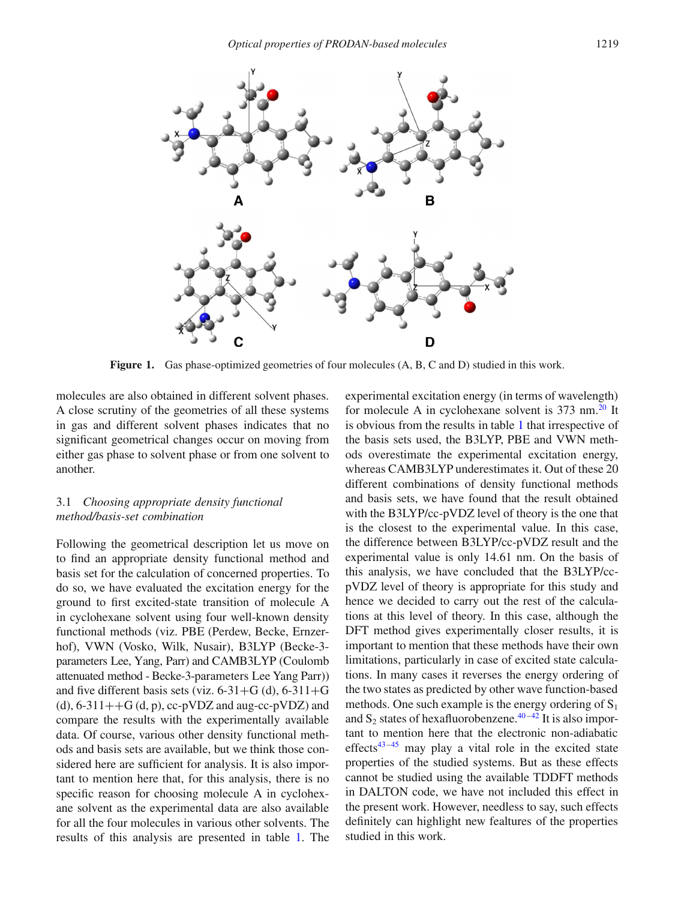<span id="page-2-0"></span>

**Figure 1.** Gas phase-optimized geometries of four molecules  $(A, B, C \text{ and } D)$  studied in this work.

molecules are also obtained in different solvent phases. A close scrutiny of the geometries of all these systems in gas and different solvent phases indicates that no significant geometrical changes occur on moving from either gas phase to solvent phase or from one solvent to another.

# 3.1 *Choosing appropriate density functional method/basis-set combination*

Following the geometrical description let us move on to find an appropriate density functional method and basis set for the calculation of concerned properties. To do so, we have evaluated the excitation energy for the ground to first excited-state transition of molecule A in cyclohexane solvent using four well-known density functional methods (viz. PBE (Perdew, Becke, Ernzerhof), VWN (Vosko, Wilk, Nusair), B3LYP (Becke-3 parameters Lee, Yang, Parr) and CAMB3LYP (Coulomb attenuated method - Becke-3-parameters Lee Yang Parr)) and five different basis sets (viz.  $6-31+G$  (d),  $6-311+G$ (d),  $6-311++G$  (d, p),  $cc-pVDZ$  and aug- $cc-pVDZ$ ) and compare the results with the experimentally available data. Of course, various other density functional methods and basis sets are available, but we think those considered here are sufficient for analysis. It is also important to mention here that, for this analysis, there is no specific reason for choosing molecule A in cyclohexane solvent as the experimental data are also available for all the four molecules in various other solvents. The results of this analysis are presented in table [1.](#page-3-0) The experimental excitation energy (in terms of wavelength) for molecule A in cyclohexane solvent is  $373 \text{ nm}^{20}$  It is obvious from the results in table [1](#page-3-0) that irrespective of the basis sets used, the B3LYP, PBE and VWN methods overestimate the experimental excitation energy, whereas CAMB3LYP underestimates it. Out of these 20 different combinations of density functional methods and basis sets, we have found that the result obtained with the B3LYP/cc-pVDZ level of theory is the one that is the closest to the experimental value. In this case, the difference between B3LYP/cc-pVDZ result and the experimental value is only 14.61 nm. On the basis of this analysis, we have concluded that the B3LYP/ccpVDZ level of theory is appropriate for this study and hence we decided to carry out the rest of the calculations at this level of theory. In this case, although the DFT method gives experimentally closer results, it is important to mention that these methods have their own limitations, particularly in case of excited state calculations. In many cases it reverses the energy ordering of the two states as predicted by other wave function-based methods. One such example is the energy ordering of  $S_1$ and  $S_2$  states of hexafluorobenzene.<sup>40-42</sup> It is also important to mention here that the electronic non-adiabatic effects<sup>43[–45](#page-9-32)</sup> may play a vital role in the excited state properties of the studied systems. But as these effects cannot be studied using the available TDDFT methods in DALTON code, we have not included this effect in the present work. However, needless to say, such effects definitely can highlight new fealtures of the properties studied in this work.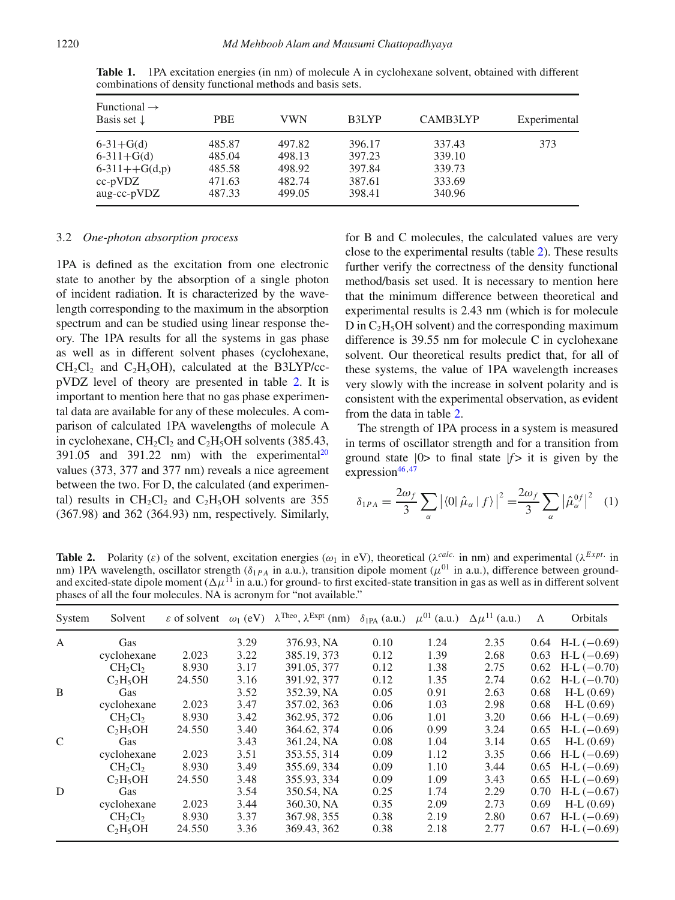| Functional $\rightarrow$<br>Basis set $\downarrow$ | <b>PBE</b> | VWN    | B3LYP  | CAMB3LYP | Experimental |
|----------------------------------------------------|------------|--------|--------|----------|--------------|
| $6-31+G(d)$                                        | 485.87     | 497.82 | 396.17 | 337.43   | 373          |
| $6-311+G(d)$                                       | 485.04     | 498.13 | 397.23 | 339.10   |              |
| $6-311++G(d,p)$                                    | 485.58     | 498.92 | 397.84 | 339.73   |              |
| $cc-pVDZ$                                          | 471.63     | 482.74 | 387.61 | 333.69   |              |
| aug-cc-pVDZ                                        | 487.33     | 499.05 | 398.41 | 340.96   |              |

<span id="page-3-0"></span>**Table 1.** 1PA excitation energies (in nm) of molecule A in cyclohexane solvent, obtained with different combinations of density functional methods and basis sets.

### 3.2 *One-photon absorption process*

1PA is defined as the excitation from one electronic state to another by the absorption of a single photon of incident radiation. It is characterized by the wavelength corresponding to the maximum in the absorption spectrum and can be studied using linear response theory. The 1PA results for all the systems in gas phase as well as in different solvent phases (cyclohexane,  $CH_2Cl_2$  and  $C_2H_5OH$ , calculated at the B3LYP/ccpVDZ level of theory are presented in table [2.](#page-3-1) It is important to mention here that no gas phase experimental data are available for any of these molecules. A comparison of calculated 1PA wavelengths of molecule A in cyclohexane,  $CH_2Cl_2$  and  $C_2H_5OH$  solvents (385.43, 391.05 and 391.22 nm) with the experimental<sup>20</sup> values (373, 377 and 377 nm) reveals a nice agreement between the two. For D, the calculated (and experimental) results in  $CH_2Cl_2$  and  $C_2H_5OH$  solvents are 355 (367.98) and 362 (364.93) nm, respectively. Similarly, for B and C molecules, the calculated values are very close to the experimental results (table [2\)](#page-3-1). These results further verify the correctness of the density functional method/basis set used. It is necessary to mention here that the minimum difference between theoretical and experimental results is 2.43 nm (which is for molecule  $D$  in  $C_2H_5OH$  solvent) and the corresponding maximum difference is 39.55 nm for molecule C in cyclohexane solvent. Our theoretical results predict that, for all of these systems, the value of 1PA wavelength increases very slowly with the increase in solvent polarity and is consistent with the experimental observation, as evident from the data in table [2.](#page-3-1)

The strength of 1PA process in a system is measured in terms of oscillator strength and for a transition from ground state  $|0\rangle$  to final state  $|f\rangle$  it is given by the expression $46,47$  $46,47$ 

<span id="page-3-2"></span>
$$
\delta_{1PA} = \frac{2\omega_f}{3} \sum_{\alpha} | \langle 0 | \hat{\mu}_{\alpha} | f \rangle |^2 = \frac{2\omega_f}{3} \sum_{\alpha} | \hat{\mu}_{\alpha}^{0f} |^2 \quad (1)
$$

<span id="page-3-1"></span>**Table 2.** Polarity (*ε*) of the solvent, excitation energies ( $\omega_1$  in eV), theoretical ( $\lambda^{calc}$  in nm) and experimental ( $\lambda^{Expt}$  in nm) 1PA wavelength, oscillator strength (*δ*1*PA* in a.u.), transition dipole moment (*μ*<sup>01</sup> in a.u.), difference between groundand excited-state dipole moment  $(\Delta \mu^{11}$  in a.u.) for ground- to first excited-state transition in gas as well as in different solvent phases of all the four molecules. NA is acronym for "not available."

| System        | Solvent                         | $\varepsilon$ of solvent $\omega_1$ (eV) |      | $\lambda^{\text{Theo}}$ , $\lambda^{\text{Expt}}$ (nm) | $\delta_{1PA}$ (a.u.) $\mu^{01}$ (a.u.) |      | $\Delta \mu^{11}$ (a.u.) | Λ    | Orbitals        |
|---------------|---------------------------------|------------------------------------------|------|--------------------------------------------------------|-----------------------------------------|------|--------------------------|------|-----------------|
| $\mathbf{A}$  | Gas                             |                                          | 3.29 | 376.93, NA                                             | 0.10                                    | 1.24 | 2.35                     | 0.64 | $H-L$ (-0.69)   |
|               | cyclohexane                     | 2.023                                    | 3.22 | 385.19, 373                                            | 0.12                                    | 1.39 | 2.68                     | 0.63 | $H-L$ (-0.69)   |
|               | CH <sub>2</sub> Cl <sub>2</sub> | 8.930                                    | 3.17 | 391.05, 377                                            | 0.12                                    | 1.38 | 2.75                     | 0.62 | $H-L$ (-0.70)   |
|               | $C_2H_5OH$                      | 24.550                                   | 3.16 | 391.92, 377                                            | 0.12                                    | 1.35 | 2.74                     | 0.62 | $H-L$ $(-0.70)$ |
| B             | Gas                             |                                          | 3.52 | 352.39, NA                                             | 0.05                                    | 0.91 | 2.63                     | 0.68 | $H-L (0.69)$    |
|               | cyclohexane                     | 2.023                                    | 3.47 | 357.02, 363                                            | 0.06                                    | 1.03 | 2.98                     | 0.68 | $H-L (0.69)$    |
|               | CH <sub>2</sub> Cl <sub>2</sub> | 8.930                                    | 3.42 | 362.95, 372                                            | 0.06                                    | 1.01 | 3.20                     | 0.66 | $H-L$ $(-0.69)$ |
|               | $C_2H_5OH$                      | 24.550                                   | 3.40 | 364.62, 374                                            | 0.06                                    | 0.99 | 3.24                     | 0.65 | $H-L$ $(-0.69)$ |
| $\mathcal{C}$ | Gas                             |                                          | 3.43 | 361.24, NA                                             | 0.08                                    | 1.04 | 3.14                     | 0.65 | $H-L (0.69)$    |
|               | cyclohexane                     | 2.023                                    | 3.51 | 353.55, 314                                            | 0.09                                    | 1.12 | 3.35                     | 0.66 | $H-L$ (-0.69)   |
|               | CH <sub>2</sub> Cl <sub>2</sub> | 8.930                                    | 3.49 | 355.69, 334                                            | 0.09                                    | 1.10 | 3.44                     | 0.65 | $H-L$ (-0.69)   |
|               | $C_2H_5OH$                      | 24.550                                   | 3.48 | 355.93, 334                                            | 0.09                                    | 1.09 | 3.43                     | 0.65 | $H-L$ (-0.69)   |
| D             | Gas                             |                                          | 3.54 | 350.54, NA                                             | 0.25                                    | 1.74 | 2.29                     | 0.70 | $H-L$ (-0.67)   |
|               | cyclohexane                     | 2.023                                    | 3.44 | 360.30, NA                                             | 0.35                                    | 2.09 | 2.73                     | 0.69 | $H-L (0.69)$    |
|               | $CH_2Cl_2$                      | 8.930                                    | 3.37 | 367.98, 355                                            | 0.38                                    | 2.19 | 2.80                     | 0.67 | $H-L$ (-0.69)   |
|               | $C_2H_5OH$                      | 24.550                                   | 3.36 | 369.43, 362                                            | 0.38                                    | 2.18 | 2.77                     | 0.67 | $H-L$ $(-0.69)$ |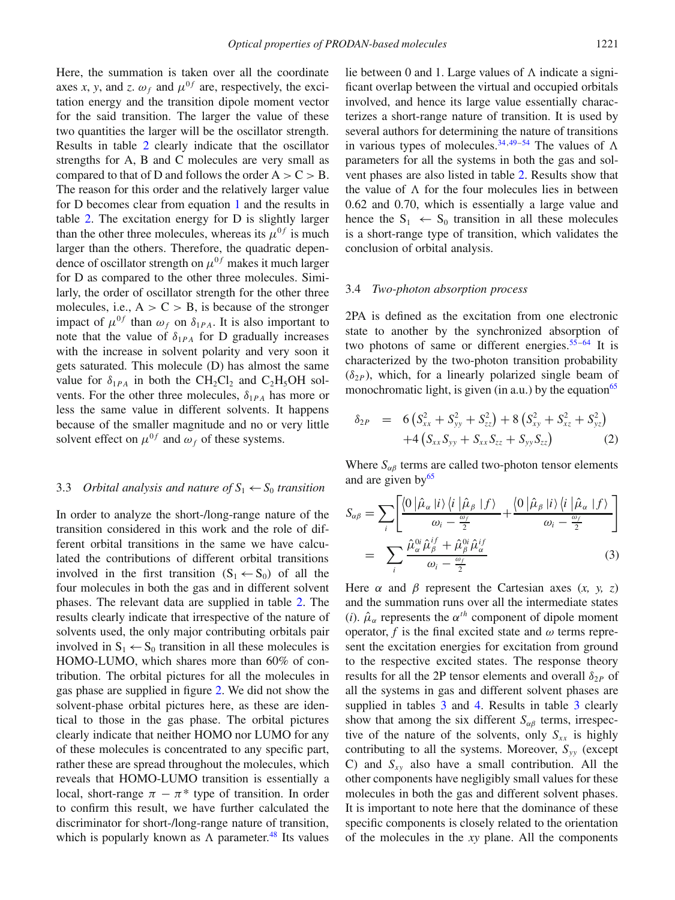Here, the summation is taken over all the coordinate axes *x*, *y*, and *z*.  $\omega_f$  and  $\mu^{0f}$  are, respectively, the excitation energy and the transition dipole moment vector for the said transition. The larger the value of these two quantities the larger will be the oscillator strength. Results in table [2](#page-3-1) clearly indicate that the oscillator strengths for A, B and C molecules are very small as compared to that of D and follows the order  $A > C > B$ . The reason for this order and the relatively larger value for D becomes clear from equation [1](#page-3-2) and the results in table [2.](#page-3-1) The excitation energy for D is slightly larger than the other three molecules, whereas its  $\mu^{0f}$  is much larger than the others. Therefore, the quadratic dependence of oscillator strength on  $\mu^{0f}$  makes it much larger for D as compared to the other three molecules. Similarly, the order of oscillator strength for the other three molecules, i.e.,  $A > C > B$ , is because of the stronger impact of  $\mu^{0f}$  than  $\omega_f$  on  $\delta_{1PA}$ . It is also important to note that the value of  $\delta_{1PA}$  for D gradually increases with the increase in solvent polarity and very soon it gets saturated. This molecule (D) has almost the same value for  $\delta_{1PA}$  in both the CH<sub>2</sub>Cl<sub>2</sub> and C<sub>2</sub>H<sub>5</sub>OH solvents. For the other three molecules, *δ*<sup>1</sup>*PA* has more or less the same value in different solvents. It happens because of the smaller magnitude and no or very little solvent effect on  $\mu^{0f}$  and  $\omega_f$  of these systems.

# 3.3 *Orbital analysis and nature of*  $S_1 \leftarrow S_0$  *transition*

In order to analyze the short-/long-range nature of the transition considered in this work and the role of different orbital transitions in the same we have calculated the contributions of different orbital transitions involved in the first transition  $(S_1 \leftarrow S_0)$  of all the four molecules in both the gas and in different solvent phases. The relevant data are supplied in table [2.](#page-3-1) The results clearly indicate that irrespective of the nature of solvents used, the only major contributing orbitals pair involved in  $S_1 \leftarrow S_0$  transition in all these molecules is HOMO-LUMO, which shares more than 60% of contribution. The orbital pictures for all the molecules in gas phase are supplied in figure [2.](#page-5-0) We did not show the solvent-phase orbital pictures here, as these are identical to those in the gas phase. The orbital pictures clearly indicate that neither HOMO nor LUMO for any of these molecules is concentrated to any specific part, rather these are spread throughout the molecules, which reveals that HOMO-LUMO transition is essentially a local, short-range  $\pi - \pi^*$  type of transition. In order to confirm this result, we have further calculated the discriminator for short-/long-range nature of transition, which is popularly known as  $\Lambda$  parameter.<sup>48</sup> Its values

lie between 0 and 1. Large values of  $\Lambda$  indicate a significant overlap between the virtual and occupied orbitals involved, and hence its large value essentially characterizes a short-range nature of transition. It is used by several authors for determining the nature of transitions in various types of molecules.<sup>34[,49–](#page-9-36)[54](#page-9-37)</sup> The values of  $\Lambda$ parameters for all the systems in both the gas and solvent phases are also listed in table [2.](#page-3-1) Results show that the value of  $\Lambda$  for the four molecules lies in between 0.62 and 0.70, which is essentially a large value and hence the  $S_1 \leftarrow S_0$  transition in all these molecules is a short-range type of transition, which validates the conclusion of orbital analysis.

### 3.4 *Two-photon absorption process*

2PA is defined as the excitation from one electronic state to another by the synchronized absorption of two photons of same or different energies.<sup>55[–64](#page-9-39)</sup> It is characterized by the two-photon transition probability  $(\delta_{2P})$ , which, for a linearly polarized single beam of monochromatic light, is given (in a.u.) by the equation<sup>65</sup>

<span id="page-4-1"></span>
$$
\delta_{2P} = 6\left(S_{xx}^2 + S_{yy}^2 + S_{zz}^2\right) + 8\left(S_{xy}^2 + S_{xz}^2 + S_{yz}^2\right) \n+4\left(S_{xx}S_{yy} + S_{xx}S_{zz} + S_{yy}S_{zz}\right)
$$
\n(2)

Where  $S_{\alpha\beta}$  terms are called two-photon tensor elements and are given  $by<sup>65</sup>$ 

<span id="page-4-0"></span>
$$
S_{\alpha\beta} = \sum_{i} \left[ \frac{\langle 0 | \hat{\mu}_{\alpha} | i \rangle \langle i | \hat{\mu}_{\beta} | f \rangle}{\omega_{i} - \frac{\omega_{f}}{2}} + \frac{\langle 0 | \hat{\mu}_{\beta} | i \rangle \langle i | \hat{\mu}_{\alpha} | f \rangle}{\omega_{i} - \frac{\omega_{f}}{2}} \right]
$$
  
= 
$$
\sum_{i} \frac{\hat{\mu}_{\alpha}^{0i} \hat{\mu}_{\beta}^{if} + \hat{\mu}_{\beta}^{0i} \hat{\mu}_{\alpha}^{if}}{\omega_{i} - \frac{\omega_{f}}{2}}
$$
(3)

Here  $\alpha$  and  $\beta$  represent the Cartesian axes  $(x, y, z)$ and the summation runs over all the intermediate states (*i*).  $\hat{\mu}_{\alpha}$  represents the  $\alpha^{th}$  component of dipole moment operator,  $f$  is the final excited state and  $\omega$  terms represent the excitation energies for excitation from ground to the respective excited states. The response theory results for all the 2P tensor elements and overall  $\delta_{2P}$  of all the systems in gas and different solvent phases are supplied in tables [3](#page-5-1) and [4.](#page-6-0) Results in table 3 clearly show that among the six different  $S_{\alpha\beta}$  terms, irrespective of the nature of the solvents, only  $S_{xx}$  is highly contributing to all the systems. Moreover, *Syy* (except C) and *Sxy* also have a small contribution. All the other components have negligibly small values for these molecules in both the gas and different solvent phases. It is important to note here that the dominance of these specific components is closely related to the orientation of the molecules in the *xy* plane. All the components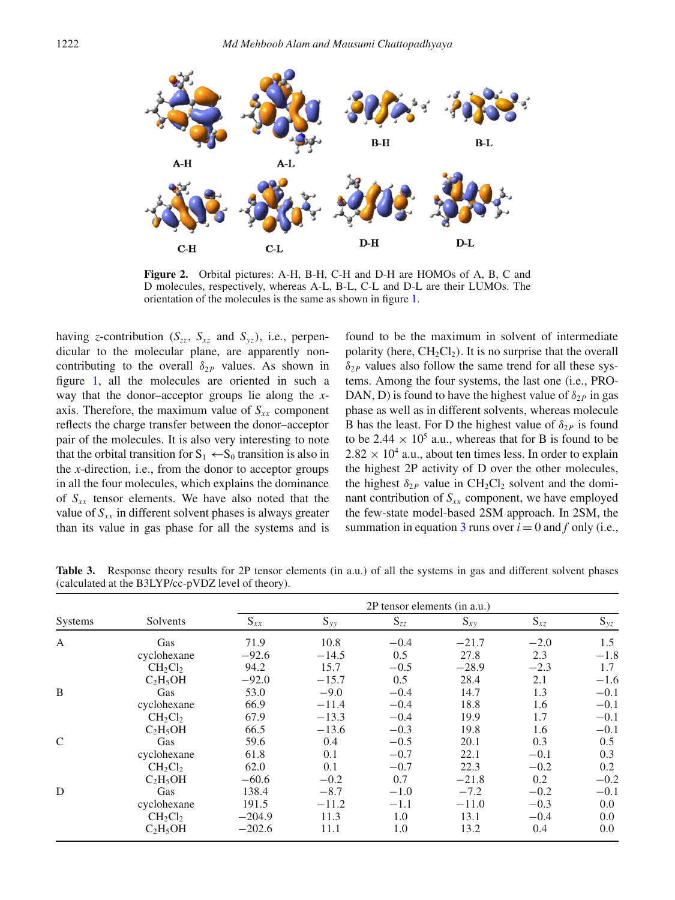<span id="page-5-0"></span>

**Figure 2.** Orbital pictures: A-H, B-H, C-H and D-H are HOMOs of A, B, C and D molecules, respectively, whereas A-L, B-L, C-L and D-L are their LUMOs. The orientation of the molecules is the same as shown in figure [1.](#page-2-0)

having *z*-contribution  $(S_{zz}, S_{xz}$  and  $S_{yz}$ ), i.e., perpendicular to the molecular plane, are apparently noncontributing to the overall  $\delta_{2P}$  values. As shown in figure [1,](#page-2-0) all the molecules are oriented in such a way that the donor–acceptor groups lie along the *x*axis. Therefore, the maximum value of  $S_{xx}$  component reflects the charge transfer between the donor–acceptor pair of the molecules. It is also very interesting to note that the orbital transition for  $S_1 \leftarrow S_0$  transition is also in the *x*-direction, i.e., from the donor to acceptor groups in all the four molecules, which explains the dominance of  $S_{xx}$  tensor elements. We have also noted that the value of  $S_{xx}$  in different solvent phases is always greater than its value in gas phase for all the systems and is found to be the maximum in solvent of intermediate polarity (here,  $CH_2Cl_2$ ). It is no surprise that the overall  $\delta_{2P}$  values also follow the same trend for all these systems. Among the four systems, the last one (i.e., PRO-DAN, D) is found to have the highest value of  $\delta_{2P}$  in gas phase as well as in different solvents, whereas molecule B has the least. For D the highest value of  $\delta_{2P}$  is found to be 2.44  $\times$  10<sup>5</sup> a.u., whereas that for B is found to be  $2.82 \times 10^4$  a.u., about ten times less. In order to explain the highest 2P activity of D over the other molecules, the highest  $\delta_{2P}$  value in CH<sub>2</sub>Cl<sub>2</sub> solvent and the dominant contribution of  $S_{xx}$  component, we have employed the few-state model-based 2SM approach. In 2SM, the summation in equation  $3$  runs over  $i = 0$  and  $f$  only (i.e.,

|               |                                 | 2P tensor elements (in a.u.) |          |          |          |          |          |  |  |  |
|---------------|---------------------------------|------------------------------|----------|----------|----------|----------|----------|--|--|--|
| Systems       | Solvents                        | $S_{xx}$                     | $S_{yy}$ | $S_{zz}$ | $S_{xy}$ | $S_{xz}$ | $S_{yz}$ |  |  |  |
| $\mathbf{A}$  | Gas                             | 71.9                         | 10.8     | $-0.4$   | $-21.7$  | $-2.0$   | 1.5      |  |  |  |
|               | cyclohexane                     | $-92.6$                      | $-14.5$  | 0.5      | 27.8     | 2.3      | $-1.8$   |  |  |  |
|               | CH <sub>2</sub> Cl <sub>2</sub> | 94.2                         | 15.7     | $-0.5$   | $-28.9$  | $-2.3$   | 1.7      |  |  |  |
|               | $C_2H_5OH$                      | $-92.0$                      | $-15.7$  | 0.5      | 28.4     | 2.1      | $-1.6$   |  |  |  |
| B             | Gas                             | 53.0                         | $-9.0$   | $-0.4$   | 14.7     | 1.3      | $-0.1$   |  |  |  |
|               | cyclohexane                     | 66.9                         | $-11.4$  | $-0.4$   | 18.8     | 1.6      | $-0.1$   |  |  |  |
|               | $CH_2Cl_2$                      | 67.9                         | $-13.3$  | $-0.4$   | 19.9     | 1.7      | $-0.1$   |  |  |  |
|               | $C_2H_5OH$                      | 66.5                         | $-13.6$  | $-0.3$   | 19.8     | 1.6      | $-0.1$   |  |  |  |
| $\mathcal{C}$ | Gas                             | 59.6                         | 0.4      | $-0.5$   | 20.1     | 0.3      | 0.5      |  |  |  |
|               | cyclohexane                     | 61.8                         | 0.1      | $-0.7$   | 22.1     | $-0.1$   | 0.3      |  |  |  |
|               | CH <sub>2</sub> Cl <sub>2</sub> | 62.0                         | 0.1      | $-0.7$   | 22.3     | $-0.2$   | 0.2      |  |  |  |
|               | $C_2H_5OH$                      | $-60.6$                      | $-0.2$   | 0.7      | $-21.8$  | 0.2      | $-0.2$   |  |  |  |
| D             | Gas                             | 138.4                        | $-8.7$   | $-1.0$   | $-7.2$   | $-0.2$   | $-0.1$   |  |  |  |
|               | cyclohexane                     | 191.5                        | $-11.2$  | $-1.1$   | $-11.0$  | $-0.3$   | $0.0\,$  |  |  |  |
|               | CH <sub>2</sub> Cl <sub>2</sub> | $-204.9$                     | 11.3     | 1.0      | 13.1     | $-0.4$   | $0.0\,$  |  |  |  |
|               | $C_2H_5OH$                      | $-202.6$                     | 11.1     | 1.0      | 13.2     | 0.4      | $0.0\,$  |  |  |  |

<span id="page-5-1"></span>**Table 3.** Response theory results for 2P tensor elements (in a.u.) of all the systems in gas and different solvent phases (calculated at the B3LYP/cc-pVDZ level of theory).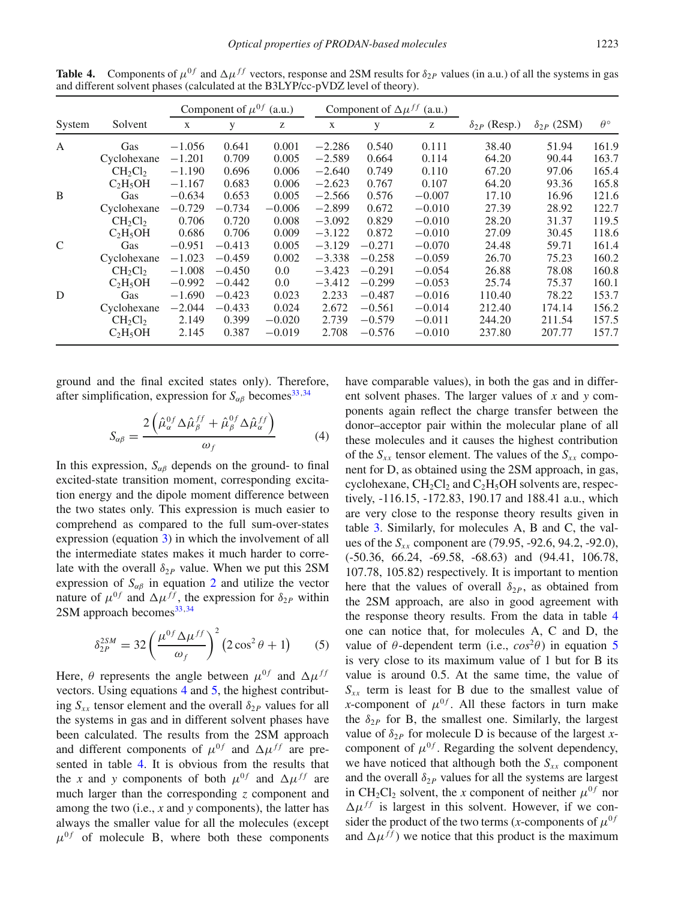|               |                                  |          | Component of $\mu^{0f}$ | (a.u.)   |          |          | Component of $\Delta \mu^{ff}$ (a.u.) |                       |                     |                  |
|---------------|----------------------------------|----------|-------------------------|----------|----------|----------|---------------------------------------|-----------------------|---------------------|------------------|
| System        | Solvent                          | X        | y                       | Z        | X        | y        | Z                                     | $\delta_{2P}$ (Resp.) | $\delta_{2P}$ (2SM) | $\theta^{\circ}$ |
| A             | Gas                              | $-1.056$ | 0.641                   | 0.001    | $-2.286$ | 0.540    | 0.111                                 | 38.40                 | 51.94               | 161.9            |
|               | Cyclohexane                      | $-1.201$ | 0.709                   | 0.005    | $-2.589$ | 0.664    | 0.114                                 | 64.20                 | 90.44               | 163.7            |
|               | $CH_2Cl_2$                       | $-1.190$ | 0.696                   | 0.006    | $-2.640$ | 0.749    | 0.110                                 | 67.20                 | 97.06               | 165.4            |
|               | $C_2H_5OH$                       | $-1.167$ | 0.683                   | 0.006    | $-2.623$ | 0.767    | 0.107                                 | 64.20                 | 93.36               | 165.8            |
| B             | Gas                              | $-0.634$ | 0.653                   | 0.005    | $-2.566$ | 0.576    | $-0.007$                              | 17.10                 | 16.96               | 121.6            |
|               | Cyclohexane                      | $-0.729$ | $-0.734$                | $-0.006$ | $-2.899$ | 0.672    | $-0.010$                              | 27.39                 | 28.92               | 122.7            |
|               | CH <sub>2</sub> Cl <sub>2</sub>  | 0.706    | 0.720                   | 0.008    | $-3.092$ | 0.829    | $-0.010$                              | 28.20                 | 31.37               | 119.5            |
|               | $C_2H_5OH$                       | 0.686    | 0.706                   | 0.009    | $-3.122$ | 0.872    | $-0.010$                              | 27.09                 | 30.45               | 118.6            |
| $\mathcal{C}$ | Gas                              | $-0.951$ | $-0.413$                | 0.005    | $-3.129$ | $-0.271$ | $-0.070$                              | 24.48                 | 59.71               | 161.4            |
|               | Cyclohexane                      | $-1.023$ | $-0.459$                | 0.002    | $-3.338$ | $-0.258$ | $-0.059$                              | 26.70                 | 75.23               | 160.2            |
|               | $CH_2Cl_2$                       | $-1.008$ | $-0.450$                | 0.0      | $-3.423$ | $-0.291$ | $-0.054$                              | 26.88                 | 78.08               | 160.8            |
|               | C <sub>2</sub> H <sub>5</sub> OH | $-0.992$ | $-0.442$                | 0.0      | $-3.412$ | $-0.299$ | $-0.053$                              | 25.74                 | 75.37               | 160.1            |
| D             | Gas                              | $-1.690$ | $-0.423$                | 0.023    | 2.233    | $-0.487$ | $-0.016$                              | 110.40                | 78.22               | 153.7            |
|               | Cyclohexane                      | $-2.044$ | $-0.433$                | 0.024    | 2.672    | $-0.561$ | $-0.014$                              | 212.40                | 174.14              | 156.2            |
|               | $CH_2Cl_2$                       | 2.149    | 0.399                   | $-0.020$ | 2.739    | $-0.579$ | $-0.011$                              | 244.20                | 211.54              | 157.5            |
|               | $C_2H_5OH$                       | 2.145    | 0.387                   | $-0.019$ | 2.708    | $-0.576$ | $-0.010$                              | 237.80                | 207.77              | 157.7            |

<span id="page-6-0"></span>**Table 4.** Components of  $\mu^{0f}$  and  $\Delta \mu^{ff}$  vectors, response and 2SM results for  $\delta_{2P}$  values (in a.u.) of all the systems in gas and different solvent phases (calculated at the B3LYP/cc-pVDZ level of theory).

ground and the final excited states only). Therefore, after simplification, expression for  $S_{\alpha\beta}$  becomes<sup>33[,34](#page-9-23)</sup>

$$
S_{\alpha\beta} = \frac{2\left(\hat{\mu}_{\alpha}^{0f} \Delta \hat{\mu}_{\beta}^{ff} + \hat{\mu}_{\beta}^{0f} \Delta \hat{\mu}_{\alpha}^{ff}\right)}{\omega_f} \tag{4}
$$

In this expression,  $S_{\alpha\beta}$  depends on the ground- to final excited-state transition moment, corresponding excitation energy and the dipole moment difference between the two states only. This expression is much easier to comprehend as compared to the full sum-over-states expression (equation [3\)](#page-4-0) in which the involvement of all the intermediate states makes it much harder to correlate with the overall  $\delta_{2P}$  value. When we put this 2SM expression of  $S_{\alpha\beta}$  in equation [2](#page-4-1) and utilize the vector nature of  $\mu^{0f}$  and  $\Delta \mu^{ff}$ , the expression for  $\delta_{2P}$  within  $2SM$  approach becomes  $33,34$  $33,34$ 

<span id="page-6-2"></span>
$$
\delta_{2P}^{2SM} = 32 \left( \frac{\mu^{0f} \Delta \mu^{ff}}{\omega_f} \right)^2 (2 \cos^2 \theta + 1) \tag{5}
$$

Here,  $\theta$  represents the angle between  $\mu^{0f}$  and  $\Delta \mu^{ff}$ vectors. Using equations [4](#page-6-1) and [5,](#page-6-2) the highest contributing  $S_{xx}$  tensor element and the overall  $\delta_{2P}$  values for all the systems in gas and in different solvent phases have been calculated. The results from the 2SM approach and different components of  $\mu^{0f}$  and  $\Delta \mu^{ff}$  are presented in table [4.](#page-6-0) It is obvious from the results that the *x* and *y* components of both  $\mu^{0f}$  and  $\Delta \mu^{ff}$  are much larger than the corresponding *z* component and among the two (i.e., *x* and *y* components), the latter has always the smaller value for all the molecules (except  $\mu^{0f}$  of molecule B, where both these components

<span id="page-6-1"></span>have comparable values), in both the gas and in different solvent phases. The larger values of *x* and *y* components again reflect the charge transfer between the donor–acceptor pair within the molecular plane of all these molecules and it causes the highest contribution of the  $S_{xx}$  tensor element. The values of the  $S_{xx}$  component for D, as obtained using the 2SM approach, in gas, cyclohexane,  $CH_2Cl_2$  and  $C_2H_5OH$  solvents are, respectively, -116.15, -172.83, 190.17 and 188.41 a.u., which are very close to the response theory results given in table [3.](#page-5-1) Similarly, for molecules A, B and C, the values of the *Sxx* component are (79.95, -92.6, 94.2, -92.0), (-50.36, 66.24, -69.58, -68.63) and (94.41, 106.78, 107.78, 105.82) respectively. It is important to mention here that the values of overall  $\delta_{2P}$ , as obtained from the 2SM approach, are also in good agreement with the response theory results. From the data in table [4](#page-6-0) one can notice that, for molecules A, C and D, the value of  $\theta$ -dependent term (i.e.,  $\cos^2\theta$ ) in equation [5](#page-6-2) is very close to its maximum value of 1 but for B its value is around 0.5. At the same time, the value of  $S_{xx}$  term is least for B due to the smallest value of *x*-component of  $\mu^{0f}$ . All these factors in turn make the  $\delta_{2P}$  for B, the smallest one. Similarly, the largest value of  $\delta_{2P}$  for molecule D is because of the largest *x*component of  $\mu^{0f}$ . Regarding the solvent dependency, we have noticed that although both the  $S_{xx}$  component and the overall  $\delta_{2P}$  values for all the systems are largest in CH<sub>2</sub>Cl<sub>2</sub> solvent, the *x* component of neither  $\mu^{0f}$  nor  $\Delta \mu^{ff}$  is largest in this solvent. However, if we consider the product of the two terms (*x*-components of  $\mu^{0f}$ and  $\Delta \mu^{ff}$ ) we notice that this product is the maximum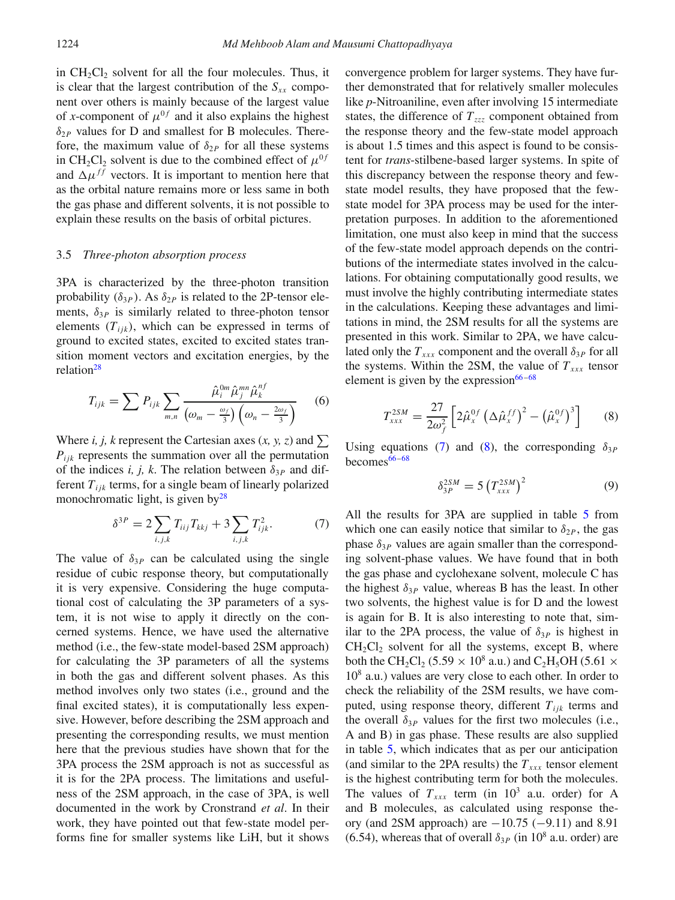in  $CH_2Cl_2$  solvent for all the four molecules. Thus, it is clear that the largest contribution of the  $S_{xx}$  component over others is mainly because of the largest value of *x*-component of  $\mu^{0f}$  and it also explains the highest *δ*<sup>2</sup>*<sup>P</sup>* values for D and smallest for B molecules. Therefore, the maximum value of  $\delta_{2P}$  for all these systems in CH<sub>2</sub>Cl<sub>2</sub> solvent is due to the combined effect of  $\mu^{0f}$ and  $\Delta \mu^{ff}$  vectors. It is important to mention here that as the orbital nature remains more or less same in both the gas phase and different solvents, it is not possible to explain these results on the basis of orbital pictures.

### 3.5 *Three-photon absorption process*

3PA is characterized by the three-photon transition probability  $(\delta_{3P})$ . As  $\delta_{2P}$  is related to the 2P-tensor elements,  $\delta_{3P}$  is similarly related to three-photon tensor elements  $(T_{ijk})$ , which can be expressed in terms of ground to excited states, excited to excited states transition moment vectors and excitation energies, by the relation<sup>28</sup>

$$
T_{ijk} = \sum P_{ijk} \sum_{m,n} \frac{\hat{\mu}_i^{0m} \hat{\mu}_j^{mn} \hat{\mu}_k^{nf}}{(\omega_m - \frac{\omega_f}{3}) (\omega_n - \frac{2\omega_f}{3})}
$$
(6)

Where *i, j, k* represent the Cartesian axes  $(x, y, z)$  and  $\sum$ *Pijk* represents the summation over all the permutation of the indices *i, j, k*. The relation between  $\delta_{3P}$  and different  $T_{ijk}$  terms, for a single beam of linearly polarized monochromatic light, is given by $^{28}$ 

$$
\delta^{3P} = 2 \sum_{i,j,k} T_{ij} T_{kkj} + 3 \sum_{i,j,k} T_{ijk}^2.
$$
 (7)

The value of  $\delta_{3P}$  can be calculated using the single residue of cubic response theory, but computationally it is very expensive. Considering the huge computational cost of calculating the 3P parameters of a system, it is not wise to apply it directly on the concerned systems. Hence, we have used the alternative method (i.e., the few-state model-based 2SM approach) for calculating the 3P parameters of all the systems in both the gas and different solvent phases. As this method involves only two states (i.e., ground and the final excited states), it is computationally less expensive. However, before describing the 2SM approach and presenting the corresponding results, we must mention here that the previous studies have shown that for the 3PA process the 2SM approach is not as successful as it is for the 2PA process. The limitations and usefulness of the 2SM approach, in the case of 3PA, is well documented in the work by Cronstrand *et al*. In their work, they have pointed out that few-state model performs fine for smaller systems like LiH, but it shows

convergence problem for larger systems. They have further demonstrated that for relatively smaller molecules like *p*-Nitroaniline, even after involving 15 intermediate states, the difference of *Tzzz* component obtained from the response theory and the few-state model approach is about 1.5 times and this aspect is found to be consistent for *trans*-stilbene-based larger systems. In spite of this discrepancy between the response theory and fewstate model results, they have proposed that the fewstate model for 3PA process may be used for the interpretation purposes. In addition to the aforementioned limitation, one must also keep in mind that the success of the few-state model approach depends on the contributions of the intermediate states involved in the calculations. For obtaining computationally good results, we must involve the highly contributing intermediate states in the calculations. Keeping these advantages and limitations in mind, the 2SM results for all the systems are presented in this work. Similar to 2PA, we have calculated only the  $T_{xxx}$  component and the overall  $\delta_{3p}$  for all the systems. Within the 2SM, the value of  $T_{xxx}$  tensor element is given by the expression $66 - 68$ 

$$
T_{xxx}^{2SM} = \frac{27}{2\omega_f^2} \left[ 2\hat{\mu}_x^{0f} \left( \Delta \hat{\mu}_x^{ff} \right)^2 - \left( \hat{\mu}_x^{0f} \right)^3 \right] \tag{8}
$$

Using equations [\(7\)](#page-7-0) and [\(8\)](#page-7-1), the corresponding  $\delta_{3P}$ becomes $66-68$ 

<span id="page-7-1"></span>
$$
\delta_{3P}^{2SM} = 5 \left( T_{xxx}^{2SM} \right)^2 \tag{9}
$$

<span id="page-7-0"></span>All the results for 3PA are supplied in table [5](#page-8-5) from which one can easily notice that similar to  $\delta_{2P}$ , the gas phase  $\delta_{3P}$  values are again smaller than the corresponding solvent-phase values. We have found that in both the gas phase and cyclohexane solvent, molecule C has the highest  $\delta_{3P}$  value, whereas B has the least. In other two solvents, the highest value is for D and the lowest is again for B. It is also interesting to note that, similar to the 2PA process, the value of  $\delta_{3P}$  is highest in  $CH_2Cl_2$  solvent for all the systems, except B, where both the CH<sub>2</sub>Cl<sub>2</sub> (5.59  $\times$  10<sup>8</sup> a.u.) and C<sub>2</sub>H<sub>5</sub>OH (5.61  $\times$  $10<sup>8</sup>$  a.u.) values are very close to each other. In order to check the reliability of the 2SM results, we have computed, using response theory, different  $T_{ijk}$  terms and the overall  $\delta_{3P}$  values for the first two molecules (i.e., A and B) in gas phase. These results are also supplied in table [5,](#page-8-5) which indicates that as per our anticipation (and similar to the 2PA results) the  $T_{xxx}$  tensor element is the highest contributing term for both the molecules. The values of  $T_{xxx}$  term (in 10<sup>3</sup> a.u. order) for A and B molecules, as calculated using response theory (and 2SM approach) are  $-10.75$  ( $-9.11$ ) and 8.91 (6.54), whereas that of overall  $\delta_{3P}$  (in 10<sup>8</sup> a.u. order) are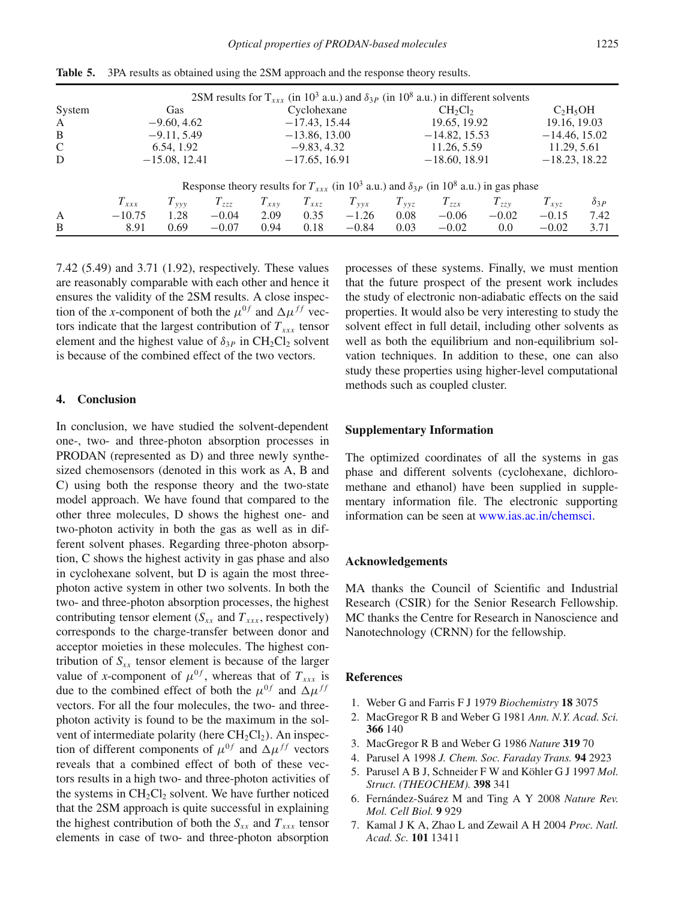*Optical properties of PRODAN-based molecules* 1225

|              |                 |                 | 2SM results for $T_{xxx}$ (in 10 <sup>3</sup> a.u.) and $\delta_{3P}$ (in 10 <sup>8</sup> a.u.) in different solvents    |           |                 |           |           |                 |           |           |                 |  |
|--------------|-----------------|-----------------|--------------------------------------------------------------------------------------------------------------------------|-----------|-----------------|-----------|-----------|-----------------|-----------|-----------|-----------------|--|
| System       | Gas             |                 |                                                                                                                          |           | Cyclohexane     |           |           | $CH_2Cl_2$      |           |           | $C_2H_5OH$      |  |
| A            | $-9.60, 4.62$   |                 |                                                                                                                          |           | $-17.43, 15.44$ |           |           | 19.65, 19.92    |           |           | 19.16, 19.03    |  |
| B            | $-9.11, 5.49$   |                 |                                                                                                                          |           | $-13.86, 13.00$ |           |           | $-14.82, 15.53$ |           |           | $-14.46, 15.02$ |  |
| $\mathsf{C}$ | 6.54, 1.92      |                 |                                                                                                                          |           | $-9.83, 4.32$   |           |           | 11.26, 5.59     |           |           | 11.29, 5.61     |  |
| D            | $-15.08, 12.41$ |                 |                                                                                                                          |           | $-17.65, 16.91$ |           |           | $-18.60, 18.91$ |           |           | $-18.23, 18.22$ |  |
|              |                 |                 | Response theory results for $T_{xxx}$ (in 10 <sup>3</sup> a.u.) and $\delta_{3P}$ (in 10 <sup>8</sup> a.u.) in gas phase |           |                 |           |           |                 |           |           |                 |  |
|              | $T_{xxx}$       | $T_{\nu\nu\nu}$ | $T_{zzz}$                                                                                                                | $T_{xxv}$ | $T_{xxz}$       | $T_{vvx}$ | $T_{yyz}$ | $T_{zzx}$       | $T_{zzy}$ | $T_{xyz}$ | $\delta_{3P}$   |  |
| A            | $-10.75$        | 1.28            | $-0.04$                                                                                                                  | 2.09      | 0.35            | $-1.26$   | 0.08      | $-0.06$         | $-0.02$   | $-0.15$   | 7.42            |  |
| B            | 8.91            | 0.69            | $-0.07$                                                                                                                  | 0.94      | 0.18            | $-0.84$   | 0.03      | $-0.02$         | 0.0       | $-0.02$   | 3.71            |  |

<span id="page-8-5"></span>**Table 5.** 3PA results as obtained using the 2SM approach and the response theory results.

7.42 (5.49) and 3.71 (1.92), respectively. These values are reasonably comparable with each other and hence it ensures the validity of the 2SM results. A close inspection of the *x*-component of both the  $\mu^{0f}$  and  $\Delta \mu^{ff}$  vectors indicate that the largest contribution of  $T_{xx}$  tensor element and the highest value of  $\delta_{3P}$  in CH<sub>2</sub>Cl<sub>2</sub> solvent is because of the combined effect of the two vectors.

### **4. Conclusion**

In conclusion, we have studied the solvent-dependent one-, two- and three-photon absorption processes in PRODAN (represented as D) and three newly synthesized chemosensors (denoted in this work as A, B and C) using both the response theory and the two-state model approach. We have found that compared to the other three molecules, D shows the highest one- and two-photon activity in both the gas as well as in different solvent phases. Regarding three-photon absorption, C shows the highest activity in gas phase and also in cyclohexane solvent, but D is again the most threephoton active system in other two solvents. In both the two- and three-photon absorption processes, the highest contributing tensor element ( $S_{xx}$  and  $T_{xxx}$ , respectively) corresponds to the charge-transfer between donor and acceptor moieties in these molecules. The highest contribution of  $S_{xx}$  tensor element is because of the larger value of *x*-component of  $\mu^{0f}$ , whereas that of  $T_{xxx}$  is due to the combined effect of both the  $\mu^{0f}$  and  $\Delta \mu^{ff}$ vectors. For all the four molecules, the two- and threephoton activity is found to be the maximum in the solvent of intermediate polarity (here  $CH_2Cl_2$ ). An inspection of different components of  $\mu^{0f}$  and  $\Delta \mu^{ff}$  vectors reveals that a combined effect of both of these vectors results in a high two- and three-photon activities of the systems in  $CH<sub>2</sub>Cl<sub>2</sub>$  solvent. We have further noticed that the 2SM approach is quite successful in explaining the highest contribution of both the  $S_{xx}$  and  $T_{xxx}$  tensor elements in case of two- and three-photon absorption processes of these systems. Finally, we must mention that the future prospect of the present work includes the study of electronic non-adiabatic effects on the said properties. It would also be very interesting to study the solvent effect in full detail, including other solvents as well as both the equilibrium and non-equilibrium solvation techniques. In addition to these, one can also study these properties using higher-level computational methods such as coupled cluster.

### **Supplementary Information**

The optimized coordinates of all the systems in gas phase and different solvents (cyclohexane, dichloromethane and ethanol) have been supplied in supplementary information file. The electronic supporting information can be seen at [www.ias.ac.in/chemsci.](www.ias.ac.in/chemsci)

## **Acknowledgements**

MA thanks the Council of Scientific and Industrial Research (CSIR) for the Senior Research Fellowship. MC thanks the Centre for Research in Nanoscience and Nanotechnology (CRNN) for the fellowship.

### **References**

- <span id="page-8-0"></span>1. Weber G and Farris F J 1979 *Biochemistry* **18** 3075
- 2. MacGregor R B and Weber G 1981 *Ann. N.Y. Acad. Sci.* **366** 140
- <span id="page-8-1"></span>3. MacGregor R B and Weber G 1986 *Nature* **319** 70
- <span id="page-8-2"></span>4. Parusel A 1998 *J. Chem. Soc. Faraday Trans.* **94** 2923
- <span id="page-8-3"></span>5. Parusel A B J, Schneider F W and Köhler G J 1997 *Mol. Struct. (THEOCHEM).* **398** 341
- <span id="page-8-4"></span>6. Fernández-Suárez M and Ting A Y 2008 *Nature Rev. Mol. Cell Biol.* **9** 929
- 7. Kamal J K A, Zhao L and Zewail A H 2004 *Proc. Natl. Acad. Sc.* **101** 13411